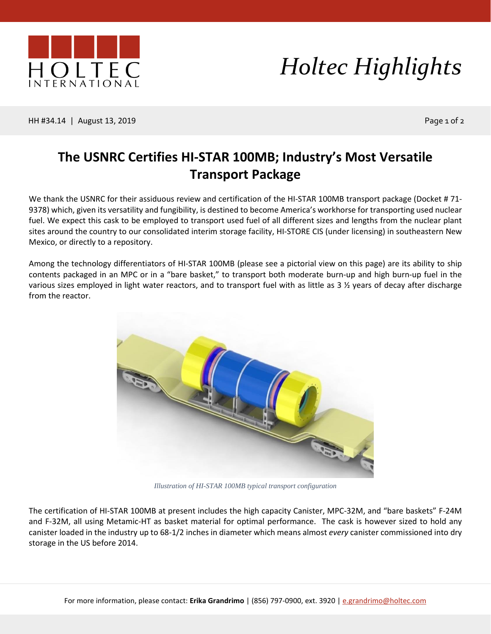

## *Holtec Highlights*

HH #34.14 | August 13, 2019 Page 1 of 2

## **The USNRC Certifies HI-STAR 100MB; Industry's Most Versatile Transport Package**

We thank the USNRC for their assiduous review and certification of the HI-STAR 100MB transport package (Docket #71-9378) which, given its versatility and fungibility, is destined to become America's workhorse for transporting used nuclear fuel. We expect this cask to be employed to transport used fuel of all different sizes and lengths from the nuclear plant sites around the country to our consolidated interim storage facility, HI-STORE CIS (under licensing) in southeastern New Mexico, or directly to a repository.

Among the technology differentiators of HI-STAR 100MB (please see a pictorial view on this page) are its ability to ship contents packaged in an MPC or in a "bare basket," to transport both moderate burn-up and high burn-up fuel in the various sizes employed in light water reactors, and to transport fuel with as little as  $3 \frac{1}{2}$  years of decay after discharge from the reactor.



*Illustration of HI-STAR 100MB typical transport configuration*

The certification of HI-STAR 100MB at present includes the high capacity Canister, MPC-32M, and "bare baskets" F-24M and F-32M, all using Metamic-HT as basket material for optimal performance. The cask is however sized to hold any canister loaded in the industry up to 68-1/2 inches in diameter which means almost *every* canister commissioned into dry storage in the US before 2014.